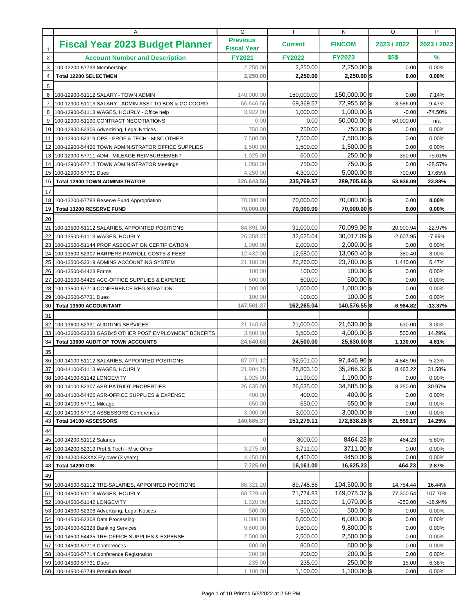|                 | A                                                          | G                                     |                    | N                            | O             | P              |
|-----------------|------------------------------------------------------------|---------------------------------------|--------------------|------------------------------|---------------|----------------|
| $\mathbf{1}$    | <b>Fiscal Year 2023 Budget Planner</b>                     | <b>Previous</b><br><b>Fiscal Year</b> | <b>Current</b>     | <b>FINCOM</b>                | 2023 / 2022   | 2023 / 2022    |
| $\overline{2}$  | <b>Account Number and Description</b>                      | <b>FY2021</b>                         | <b>FY2022</b>      | <b>FY2023</b>                | \$\$\$        | %              |
| 3               | 100-12200-57733 Memberships                                | 2,250.00                              | 2.250.00           | $2,250.00$ \$                | 0.00          | 0.00%          |
| $\overline{4}$  | <b>Total 12200 SELECTMEN</b>                               | 2,250.00                              | 2,250.00           | $2,250.00$ \$                | 0.00          | 0.00%          |
| 5               |                                                            |                                       |                    |                              |               |                |
| 6               | 100-12900-51112 SALARY - TOWN ADMIN                        | 140,000.00                            | 150,000.00         | 150,000.00 \$                | 0.00          | 7.14%          |
| $\overline{7}$  | 100-12900-51113 SALARY - ADMIN ASST TO BOS & GC COORD      | 66,646.56                             | 69,369.57          | 72,955.66 \$                 | 3,586.09      | 9.47%          |
| 8               | 100-12900-51113 WAGES, HOURLY - Office help                | 3,922.00                              | 1,000.00           | $1,000.00$ \$                | $-0.00$       | $-74.50%$      |
| 9               | 100-12900-51190 CONTRACT NEGOTIATIONS                      | 0.00                                  | 0.00               | $50,000.00$ \$               | 50,000.00     | n/a            |
|                 | 10 100-12900-52306 Advertising, Legal Notices              | 750.00                                | 750.00             | 750.00 \$                    | 0.00          | 0.00%          |
| 11              | 100-12900-52319 OPS - PROF & TECH - MISC OTHER             | 7.500.00                              | 7,500.00           | 7,500.00 \$                  | 0.00          | 0.00%          |
| 12              | 100-12900-54420 TOWN ADMINISTRATOR OFFICE SUPPLIES         | 1,500.00                              | 1,500.00           | $1,500.00$ \$                | 0.00          | 0.00%          |
| 13              | 100-12900-57711 ADM - MILEAGE REIMBURSEMENT                | 1,025.00                              | 600.00             | $250.00$ \$                  | $-350.00$     | $-75.61%$      |
| 14              | 100-12900-57712 TOWN ADMINISTRATOR Meetings                | 1,050.00                              | 750.00             | 750.00 \$                    | 0.00          | $-28.57%$      |
| 15              | 100-12900-57731 Dues                                       | 4,250.00                              | 4,300.00           | $5,000.00$ \$                | 700.00        | 17.65%         |
| 16              | <b>Total 12900 TOWN ADMINISTRATOR</b>                      | 226,643.56                            | 235,769.57         | 289,705.66 \$                | 53,936.09     | 22.88%         |
| 17              |                                                            |                                       |                    |                              |               |                |
| 18 <sup>1</sup> | 100-13200-57783 Reserve Fund Appropriation                 | 70,000.00                             | 70,000.00          | 70,000.00 \$                 | 0.00          | $0.00\%$       |
| 19              | Total 13200 RESERVE FUND                                   | 70,000,00                             | 70,000.00          | 70,000.00 \$                 | 0.00          | 0.00%          |
| 20              |                                                            |                                       |                    |                              |               |                |
| $21 \mid$       | 100-13500-51112 SALARIES, APPOINTED POSITIONS              | 84,891.00                             | 91,000.00          | 70,099.06 \$                 | $-20,900.94$  | $-22.97%$      |
| 22              | 100-13500-51113 WAGES, HOURLY                              | 26,358.37                             | 32,625.04          | $30,017.09$ \$               | $-2,607.95$   | $-7.99%$       |
| 23              | 100-13500-51144 PROF ASSOCIATION CERTIFICATION             | 1,000.00                              | 2,000.00           | $2,000.00$ \$                | 0.00          | 0.00%          |
| 24              | 100-13500-52307 HARPERS PAYROLL COSTS & FEES               | 12,432.00                             | 12,680.00          | 13,060.40 \$                 | 380.40        | 3.00%          |
| 25              | 100-13500-52319 ADMINS ACCOUNTING SYSTEM                   | 21,180.00                             | 22,260.00          | 23,700.00 \$                 | 1,440.00      | 6.47%          |
| 26              | 100-13500-54423 Forms                                      | 100.00                                | 100.00             | $100.00$ \$                  | 0.00          | 0.00%          |
| 27              | 100-13500-54425 ACC-OFFICE SUPPLIES & EXPENSE              | 500.00                                | 500.00             | $500.00$ \$                  | 0.00          | 0.00%          |
| 28              | 100-13500-57714 CONFERENCE REGISTRATION                    | 1,000.00                              | 1,000.00           | $1,000.00$ \$                | 0.00          | 0.00%          |
| 29              | 100-13500-57731 Dues                                       | 100.00                                | 100.00             | $100.00$ \$                  | 0.00          | 0.00%          |
| 30              | <b>Total 13500 ACCOUNTANT</b>                              | 147,561.37                            | 162,265.04         | 140,576.55 \$                | $-6,984.82$   | $-13.37%$      |
| 31              |                                                            |                                       |                    |                              |               |                |
| 32              | 100-13600-52331 AUDITING SERVICES                          | 21,140.63                             | 21,000.00          | $21,630.00$ \$               | 630.00        | 3.00%          |
|                 |                                                            |                                       |                    |                              |               |                |
| 33              | 100-13600-52338 GASB45 OTHER POST EMPLOYMENT BENEFITS      | 3,500.00                              | 3,500.00           | $4,000.00$ \$                | 500.00        | 14.29%         |
| 34              | Total 13600 AUDIT OF TOWN ACCOUNTS                         | 24,640.63                             | 24,500.00          | 25,630.00 \$                 | 1,130.00      | 4.61%          |
| 35              |                                                            |                                       |                    |                              |               |                |
| 36              | 100-14100-51112 SALARIES, APPOINTED POSITIONS              | 87,071.12                             | 92.601.00          | 97,446.96 \$                 | 4,845.96      | 5.23%          |
| 37              | 100-14100-51113 WAGES, HOURLY                              | 21,904.25                             | 26.803.10          | 35,266.32 \$                 | 8,463.22      | 31.58%         |
|                 | 38 100-14100-51142 LONGEVITY                               | 1,025.00                              | 1,190.00           | $1,190.00$ \$                | 0.00          | $0.00\%$       |
|                 | 39 100-14100-52307 ASR-PATRIOT PROPERTIES                  | 26,635.00                             | 26,635.00          | 34,885.00 \$                 | 8,250.00      | 30.97%         |
|                 | 40 100-14100-54425 ASR-OFFICE SUPPLIES & EXPENSE           | 400.00                                | 400.00             | $400.00$ \$                  | 0.00          | 0.00%          |
| 41              | 100-14100-57711 Mileage                                    | 650.00                                | 650.00             | $650.00$ \$                  | 0.00          | 0.00%          |
| 42              | 100-14100-57713 ASSESSORS Conferences                      | 3,000.00                              | 3,000.00           | $3,000.00$ \$                | 0.00          | 0.00%          |
| 43              | Total 14100 ASSESSORS                                      | 140,685.37                            | 151,279.11         | 172,838.28 \$                | 21,559.17     | 14.25%         |
| 44              |                                                            |                                       |                    |                              |               |                |
| 45              | 100-14200-51112 Salaries                                   | $\Omega$                              | 8000.00            | 8464.23 \$                   | 464.23        | 5.80%          |
| 46              | 100-14200-52319 Prof & Tech - Misc Other                   | 3,275.00                              | 3,711.00           | 3711.00 \$                   | 0.00          | 0.00%          |
| 47              | 100-14200-5XXXX Fly-over (3 years)                         | 4,450.00                              | 4,450.00           | 4450.00 \$                   | 0.00          | 0.00%          |
| 48              | Total 14200 GIS                                            | 7,725.00                              | 16,161.00          | 16,625.23                    | 464.23        | 2.87%          |
| 49              |                                                            |                                       |                    |                              |               |                |
| 50 <sub>1</sub> | 100-14500-51112 TRE-SALARIES, APPOINTED POSITIONS          | 86,321.20                             | 89,745.56          | 104,500.00 \$                | 14,754.44     | 16.44%         |
| 51              | 100-14500-51113 WAGES, HOURLY                              | 68,729.40                             | 71,774.83          | 149,075.37 \$                | 77,300.54     | 107.70%        |
|                 | 52 100-14500-51142 LONGEVITY                               | 1,320.00                              | 1,320.00           | $1,070.00$ \$                | $-250.00$     | $-18.94%$      |
| 53              | 100-14500-52306 Advertising, Legal Notices                 | 500.00                                | 500.00             | $500.00$ \$                  | 0.00          | 0.00%          |
| 54              | 100-14500-52308 Data Processing                            | 6,000.00                              | 6,000.00           | $6,000.00$ \$                | 0.00          | 0.00%          |
|                 | 55 100-14500-52328 Banking Services                        | 9,800.00                              | 9,800.00           | $9,800.00$ \$                | 0.00          | 0.00%          |
|                 | 56 100-14500-54425 TRE-OFFICE SUPPLIES & EXPENSE           | 2,500.00                              | 2,500.00           | $2,500.00$ \$                | 0.00          | 0.00%          |
| 57              | 100-14500-57713 Conferences                                | 800.00                                | 800.00             | $800.00$ \$                  | 0.00          | 0.00%          |
|                 | 58 100-14500-57714 Conference Registration                 | 200.00                                | 200.00             | $200.00$ \$                  | 0.00          | 0.00%          |
|                 | 59 100-14500-57731 Dues<br>60 100-14500-57749 Premium Bond | 235.00<br>1,100.00                    | 235.00<br>1,100.00 | $250.00$ \$<br>$1,100.00$ \$ | 15.00<br>0.00 | 6.38%<br>0.00% |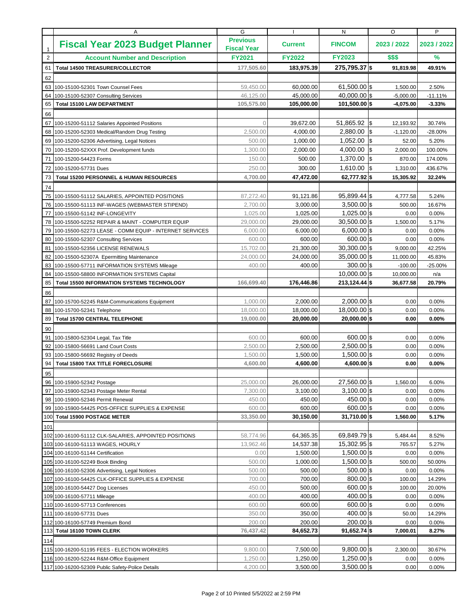|              | Α                                                                                                | G                                     |                      | N                              | O                      | P                |
|--------------|--------------------------------------------------------------------------------------------------|---------------------------------------|----------------------|--------------------------------|------------------------|------------------|
| $\mathbf{1}$ | <b>Fiscal Year 2023 Budget Planner</b>                                                           | <b>Previous</b><br><b>Fiscal Year</b> | <b>Current</b>       | <b>FINCOM</b>                  | 2023 / 2022            | 2023 / 2022      |
| $\sqrt{2}$   | <b>Account Number and Description</b>                                                            | <b>FY2021</b>                         | <b>FY2022</b>        | <b>FY2023</b>                  | \$\$\$                 | %                |
| 61           | <b>Total 14500 TREASURER/COLLECTOR</b>                                                           | 177,505.60                            | 183.975.39           | 275,795.37 \$                  | 91,819.98              | 49.91%           |
| 62           |                                                                                                  |                                       |                      |                                |                        |                  |
| 63           | 100-15100-52301 Town Counsel Fees                                                                | 59,450.00                             | 60,000.00            | $61,500.00$ \$                 | 1,500.00               | 2.50%            |
| 64           | 100-15100-52307 Consulting Services                                                              | 46,125.00                             | 45,000.00            | $40,000.00$ \$                 | $-5,000.00$            | $-11.11%$        |
| 65           | <b>Total 15100 LAW DEPARTMENT</b>                                                                | 105,575.00                            | 105,000.00           | 101,500.00 \$                  | $-4,075.00$            | $-3.33%$         |
| 66           |                                                                                                  |                                       |                      |                                |                        |                  |
| 67           | 100-15200-51112 Salaries Appointed Positions                                                     | $\Omega$                              | 39.672.00            | $51,865.92$ \$                 | 12,193.92              | 30.74%           |
| 68           | 100-15200-52303 Medical/Random Drug Testing                                                      | 2,500.00                              | 4,000.00             | 2,880.00                       | 1\$<br>$-1,120.00$     | $-28.00%$        |
| 69           | 100-15200-52306 Advertising, Legal Notices                                                       | 500.00                                | 1,000.00             | 1,052.00                       | 1\$<br>52.00           | 5.20%            |
| 70           | 100-15200-52XXX Prof. Development funds                                                          | 1,300.00                              | 2,000.00             | 4,000.00                       | 1\$<br>2,000.00        | 100.00%          |
| 71           | 100-15200-54423 Forms                                                                            | 150.00                                | 500.00               | $1,370.00$ \$                  | 870.00                 | 174.00%          |
| 72           | 100-15200-57731 Dues                                                                             | 250.00                                | 300.00               | 1,610.00                       | <b>S</b><br>1,310.00   | 436.67%          |
| 73           | <b>Total 15200 PERSONNEL &amp; HUMAN RESOURCES</b>                                               | 4,700.00                              | 47,472.00            | 62,777.92 \$                   | 15,305.92              | 32.24%           |
| 74           |                                                                                                  |                                       |                      |                                |                        |                  |
| 75           | 100-15500-51112 SALARIES, APPOINTED POSITIONS                                                    | 87,272.40                             | 91,121.86            | $95,899.44$ \$                 | 4,777.58               | 5.24%            |
| 76           | 100-15500-51113 INF-WAGES (WEBMASTER STIPEND)                                                    | 2,700.00                              | 3,000.00             | $3,500.00$ \$                  | 500.00                 | 16.67%           |
| 77           | 100-15500-51142 INF-LONGEVITY                                                                    | 1,025.00                              | 1,025.00             | $1,025.00$ \$                  | 0.00                   | 0.00%            |
| 78           | 100-15500-52252 REPAIR & MAINT - COMPUTER EQUIP                                                  | 29,000.00                             | 29.000.00            | $30,500.00$ \$                 | 1,500.00               | 5.17%            |
| 79           | 100-15500-52273 LEASE - COMM EQUIP - INTERNET SERVICES                                           | 6,000.00                              | 6,000.00             | $6,000.00$ \$                  | 0.00                   | 0.00%            |
| 80           | 100-15500-52307 Consulting Services                                                              | 600.00                                | 600.00               | $600.00$ \$                    | 0.00                   | 0.00%            |
| 81           | 100-15500-52356 LICENSE RENEWALS                                                                 | 15,702.00                             | 21,300.00            | $30,300.00$ \$                 | 9,000.00               | 42.25%           |
| 82           | 100-15500-52307A Epermitting Maintenance                                                         | 24,000.00                             | 24,000.00            | $35,000.00$ \$                 | 11,000.00              | 45.83%           |
| 83<br>84     | 100-15500-57711 INFORMATION SYSTEMS Mileage                                                      | 400.00                                | 400.00               | $300.00$ \$<br>$10,000.00$ \$  | $-100.00$<br>10,000.00 | $-25.00%$<br>n/a |
| 85           | 100-15500-58800 INFORMATION SYSTEMS Capital<br><b>Total 15500 INFORMATION SYSTEMS TECHNOLOGY</b> | 166,699.40                            | 176,446.86           | 213,124.44 \$                  | 36,677.58              | 20.79%           |
|              |                                                                                                  |                                       |                      |                                |                        |                  |
| 86<br>87     | 100-15700-52245 R&M-Communications Equipment                                                     | 1,000.00                              | 2,000.00             | $2,000.00$ \$                  | 0.00                   | 0.00%            |
| 88           | 100-15700-52341 Telephone                                                                        | 18,000.00                             | 18,000.00            | 18,000.00 \$                   | 0.00                   | 0.00%            |
| 89           | <b>Total 15700 CENTRAL TELEPHONE</b>                                                             | 19,000.00                             | 20,000.00            | $20,000.00$ \$                 | 0.00                   | 0.00%            |
| 90           |                                                                                                  |                                       |                      |                                |                        |                  |
| 91           | 100-15800-52304 Legal, Tax Title                                                                 | 600.00                                | 600.00               | $600.00$ \$                    | 0.00                   | 0.00%            |
| 92           | 100-15800-56691 Land Court Costs                                                                 | 2,500.00                              | 2,500.00             | $2,500.00$ \$                  | 0.00                   | 0.00%            |
| 93           | 100-15800-56692 Registry of Deeds                                                                | 1,500.00                              | 1,500.00             | $1,500.00$ \$                  | 0.00                   | 0.00%            |
| 94           | <b>Total 15800 TAX TITLE FORECLOSURE</b>                                                         | 4.600.00                              | 4,600.00             | 4,600.00 \$                    | 0.00                   | $0.00\%$         |
| 95           |                                                                                                  |                                       |                      |                                |                        |                  |
|              | 96 100-15900-52342 Postage                                                                       | 25,000.00                             | 26,000.00            | 27,560.00 \$                   | 1,560.00               | 6.00%            |
|              | 97 100-15900-52343 Postage Meter Rental                                                          | 7,300.00                              | 3,100.00             | $3.100.00$ s                   | 0.00                   | 0.00%            |
|              | 98 100-15900-52346 Permit Renewal                                                                | 450.00                                | 450.00               | $450.00$ \$                    | 0.00                   | 0.00%            |
| 99           | 100-15900-54425 POS-OFFICE SUPPLIES & EXPENSE                                                    | 600.00                                | 600.00               | $600.00$ \$                    | 0.00                   | 0.00%            |
| 100          | <b>Total 15900 POSTAGE METER</b>                                                                 | 33,350.00                             | 30,150.00            | 31,710.00 \$                   | 1,560.00               | 5.17%            |
| 101          |                                                                                                  |                                       |                      |                                |                        |                  |
|              | 102 100-16100-51112 CLK-SALARIES, APPOINTED POSITIONS                                            | 58,774.96                             | 64,365.35            | 69,849.79 \$                   | 5,484.44               | 8.52%            |
|              | 103 100-16100-51113 WAGES, HOURLY                                                                | 13,962.46                             | 14,537.38            | $15,302.95$ \$                 | 765.57                 | 5.27%            |
|              | 104 100-16100-51144 Certification                                                                | 0.00                                  | 1,500.00             | $1,500.00$ \$                  | 0.00                   | 0.00%            |
|              | 105 100-16100-52249 Book Binding                                                                 | 500.00                                | 1,000.00             | $1,500.00$ \$                  | 500.00                 | 50.00%           |
|              | 106 100-16100-52306 Advertising, Legal Notices                                                   | 500.00                                | 500.00               | $500.00$ \$                    | 0.00                   | 0.00%            |
|              | 107 100-16100-54425 CLK-OFFICE SUPPLIES & EXPENSE                                                | 700.00                                | 700.00               | $800.00$ \$                    | 100.00                 | 14.29%           |
|              | 108 100-16100-54427 Dog Licenses                                                                 | 450.00                                | 500.00               | $600.00$ \$                    | 100.00                 | 20.00%           |
|              | 109 100-16100-57711 Mileage<br>110 100-16100-57713 Conferences                                   | 400.00<br>600.00                      | 400.00<br>600.00     | $400.00$ \$<br>$600.00$ \$     | 0.00<br>0.00           | 0.00%<br>0.00%   |
|              | 111 100-16100-57731 Dues                                                                         | 350.00                                | 350.00               | $400.00$ \$                    | 50.00                  | 14.29%           |
|              | 112 100-16100-57749 Premium Bond                                                                 | 200.00                                | 200.00               | $200.00$ \$                    | 0.00                   | 0.00%            |
|              |                                                                                                  |                                       |                      |                                |                        | 8.27%            |
|              |                                                                                                  |                                       |                      |                                |                        |                  |
|              | 113 Total 16100 TOWN CLERK                                                                       | 76,437.42                             | 84,652.73            | 91,652.74 \$                   | 7,000.01               |                  |
| 114          |                                                                                                  |                                       |                      |                                |                        |                  |
|              | 115 100-16200-51195 FEES - ELECTION WORKERS<br>116 100-16200-52244 R&M-Office Equipment          | 9,800.00<br>1,250.00                  | 7,500.00<br>1,250.00 | $9,800.00$ \$<br>$1,250.00$ \$ | 2,300.00<br>0.00       | 30.67%<br>0.00%  |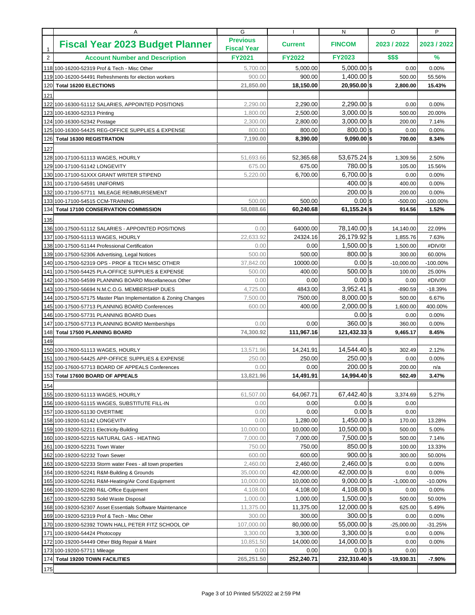|                | Α                                                                | G                                     |                  | N                               | O              | P               |
|----------------|------------------------------------------------------------------|---------------------------------------|------------------|---------------------------------|----------------|-----------------|
| $\mathbf{1}$   | <b>Fiscal Year 2023 Budget Planner</b>                           | <b>Previous</b><br><b>Fiscal Year</b> | <b>Current</b>   | <b>FINCOM</b>                   | 2023 / 2022    | 2023 / 2022     |
| $\overline{2}$ | <b>Account Number and Description</b>                            | <b>FY2021</b>                         | <b>FY2022</b>    | <b>FY2023</b>                   | \$\$\$         | %               |
|                | 118 100-16200-52319 Prof & Tech - Misc Other                     | 5,700.00                              | 5,000.00         | $5,000.00$ \$                   | 0.00           | 0.00%           |
|                | 119 100-16200-54491 Refreshments for election workers            | 900.00                                | 900.00           | $1,400.00$ \$                   | 500.00         | 55.56%          |
| 120            | <b>Total 16200 ELECTIONS</b>                                     | 21,850.00                             | 18,150.00        | 20,950.00 \$                    | 2,800.00       | 15.43%          |
| 121            |                                                                  |                                       |                  |                                 |                |                 |
|                | 122 100-16300-51112 SALARIES, APPOINTED POSITIONS                | 2,290.00                              | 2,290.00         | $2,290.00$ \$                   | 0.00           | 0.00%           |
|                | 123 100-16300-52313 Printing                                     | 1,800.00                              | 2,500.00         | $3,000.00$ \$                   | 500.00         | 20.00%          |
|                | 124 100-16300-52342 Postage                                      | 2,300.00                              | 2,800.00         | $3,000.00$ \$                   | 200.00         | 7.14%           |
|                | 125 100-16300-54425 REG-OFFICE SUPPLIES & EXPENSE                | 800.00                                | 800.00           | $800.00$ \$                     | 0.00           | 0.00%           |
| 126            | <b>Total 16300 REGISTRATION</b>                                  | 7,190.00                              | 8,390.00         | $9,090.00$ \$                   | 700.00         | 8.34%           |
| 127            |                                                                  |                                       |                  |                                 |                |                 |
|                | 128 100-17100-51113 WAGES, HOURLY                                | 51,693.66                             | 52,365.68        | $53,675.24$ \$                  | 1,309.56       | 2.50%           |
|                | 129 100-17100-51142 LONGEVITY                                    | 675.00                                | 675.00           | 780.00 \$                       | 105.00         | 15.56%          |
|                | 130 100-17100-51XXX GRANT WRITER STIPEND                         | 5,220.00                              | 6,700.00         | $6,700.00$ \$                   | 0.00           | 0.00%           |
|                | 131 100-17100-54591 UNIFORMS                                     |                                       |                  | $400.00$ \$                     | 400.00         | 0.00%           |
|                | 132 100-17100-57711 MILEAGE REIMBURSEMENT                        |                                       |                  | $200.00$ \\$                    | 200.00         | 0.00%           |
|                | 133 100-17100-54515 CCM-TRAINING                                 | 500.00                                | 500.00           | $0.00$ \$                       | -500.00        | $-100.00\%$     |
|                | 134 Total 17100 CONSERVATION COMMISSION                          | 58,088.66                             | 60,240.68        | $61,155.24$ \$                  | 914.56         | 1.52%           |
| 135            |                                                                  |                                       |                  |                                 |                |                 |
|                | 136 100-17500-51112 SALARIES - APPOINTED POSITIONS               | 0.00                                  | 64000.00         | 78,140.00 \$                    | 14,140.00      | 22.09%          |
|                | 137 100-17500-51113 WAGES, HOURLY                                | 22,633.92                             | 24324.16         | 26,179.92 \$                    | 1,855.76       | 7.63%           |
|                | 138 100-17500-51144 Professional Certification                   | 0.00                                  | 0.00             | $1,500.00$ \$                   | 1,500.00       | #DIV/0!         |
|                | 139 100-17500-52306 Advertising, Legal Notices                   | 500.00                                | 500.00           | $800.00$ \$                     | 300.00         | 60.00%          |
|                | 140 100-17500-52319 OPS - PROF & TECH MISC OTHER                 | 37,842.00                             | 10000.00         | $0.00$ \$                       | $-10,000.00$   | $-100.00\%$     |
| 141            | 100-17500-54425 PLA-OFFICE SUPPLIES & EXPENSE                    | 500.00                                | 400.00           | $500.00$ \$                     | 100.00         | 25.00%          |
|                | 142 100-17500-54599 PLANNING BOARD Miscellaneous Other           | 0.00                                  | 0.00             | $0.00$ s                        | 0.00           | #DIV/0!         |
|                | 143 100-17500-56694 N.M.C.O.G. MEMBERSHIP DUES                   | 4,725.00                              | 4843.00          | $3,952.41$ \$                   | $-890.59$      | $-18.39%$       |
|                | 144 100-17500-57175 Master Plan Implementation & Zoning Changes  | 7,500.00                              | 7500.00          | $8,000.00$ \$                   | 500.00         | 6.67%           |
|                | 145 100-17500-57713 PLANNING BOARD Conferences                   | 600.00                                | 400.00           | $2,000.00$ \$                   | 1,600.00       | 400.00%         |
|                | 146 100-17500-57731 PLANNING BOARD Dues                          |                                       |                  | $0.00$ \$                       | 0.00           | 0.00%           |
|                | 147 100-17500-57713 PLANNING BOARD Memberships                   | 0.00                                  | 0.00             | $360.00$ \$                     | 360.00         | 0.00%           |
| 148            | <b>Total 17500 PLANNING BOARD</b>                                | 74,300.92                             | 111,967.16       | 121,432.33 \$                   | 9,465.17       | 8.45%           |
| 149            |                                                                  |                                       |                  |                                 |                |                 |
|                | 150 100-17600-51113 WAGES, HOURLY                                | 13,571.96                             | 14,241.91        | 14,544.40 \$                    | 302.49         | 2.12%           |
|                | 151 100-17600-54425 APP-OFFICE SUPPLIES & EXPENSE                | 250.00                                | 250.00           | $250.00$ \$                     | 0.00           | 0.00%           |
|                | 152 100-17600-57713 BOARD OF APPEALS Conferences                 | 0.00                                  | 0.00             | $200.00$ s                      | 200.00         | n/a             |
|                | 153 Total 17600 BOARD OF APPEALS                                 | 13,821.96                             | 14,491.91        | 14,994.40 \$                    | 502.49         | 3.47%           |
| 154            |                                                                  |                                       |                  |                                 |                |                 |
|                | 155 100-19200-51113 WAGES, HOURLY                                | 61,507.00                             | 64,067.71        | $67,442.40$ \$                  | 3,374.69       | 5.27%           |
|                | 156 100-19200-51115 WAGES, SUBSTITUTE FILL-IN                    | 0.00                                  | 0.00             | $0.00$ \$                       | 0.00           |                 |
|                | 157 100-19200-51130 OVERTIME                                     | 0.00                                  | 0.00             | $0.00$ \$                       | 0.00           |                 |
|                | 158 100-19200-51142 LONGEVITY                                    | 0.00                                  | 1,280.00         | $1.450.00$ s                    | 170.00         | 13.28%          |
|                | 159 100-19200-52211 Electricity-Building                         | 10,000.00                             | 10,000.00        | $10,500.00$ \$<br>$7,500.00$ \$ | 500.00         | 5.00%           |
|                | 160 100-19200-52215 NATURAL GAS - HEATING                        | 7,000.00                              | 7,000.00         | $850.00$ \$                     | 500.00         | 7.14%           |
|                | 161 100-19200-52231 Town Water<br>162 100-19200-52232 Town Sewer | 750.00<br>600.00                      | 750.00<br>600.00 | $900.00$ \$                     | 100.00         | 13.33%          |
|                | 163 100-19200-52233 Storm water Fees - all town properties       | 2,460.00                              | 2,460.00         | $2,460.00$ \$                   | 300.00<br>0.00 | 50.00%<br>0.00% |
|                | 164 100-19200-52241 R&M-Building & Grounds                       | 35,000.00                             | 42,000.00        | $42,000.00$ \$                  | 0.00           | 0.00%           |
|                | 165 100-19200-52261 R&M-Heating/Air Cond Equipment               | 10,000.00                             | 10,000.00        | $9,000.00$ \$                   | $-1,000.00$    | $-10.00%$       |
|                | 166 100-19200-52280 R&L-Office Equipment                         | 4,108.00                              | 4,108.00         | 4,108.00 \$                     | 0.00           | $0.00\%$        |
|                | 167 100-19200-52293 Solid Waste Disposal                         | 1,000.00                              | 1,000.00         | $1,500.00$ \$                   | 500.00         | 50.00%          |
|                | 168 100-19200-52307 Asset Essentials Software Maintenance        | 11,375.00                             | 11,375.00        | $12,000.00$ \$                  | 625.00         | 5.49%           |
|                | 169 100-19200-52319 Prof & Tech - Misc Other                     | 300.00                                | 300.00           | $300.00$ \$                     | 0.00           | 0.00%           |
|                | 170 100-19200-52392 TOWN HALL PETER FITZ SCHOOL OP               | 107,000.00                            | 80,000.00        | 55,000.00 \$                    | $-25,000.00$   | $-31.25%$       |
|                | 171 100-19200-54424 Photocopy                                    | 3,300.00                              | 3,300.00         | $3,300.00$ \$                   | 0.00           | 0.00%           |
|                | 172 100-19200-54449 Other Bldg Repair & Maint                    | 10,851.50                             | 14,000.00        | $14,000.00$ \$                  | 0.00           | 0.00%           |
|                | 173 100-19200-57711 Mileage                                      | 0.00                                  | 0.00             | $0.00$ \$                       | 0.00           |                 |
|                | 174 Total 19200 TOWN FACILITIES                                  | 265,251.50                            | 252,240.71       | 232,310.40 \$                   | $-19,930.31$   | $-7.90%$        |
| 175            |                                                                  |                                       |                  |                                 |                |                 |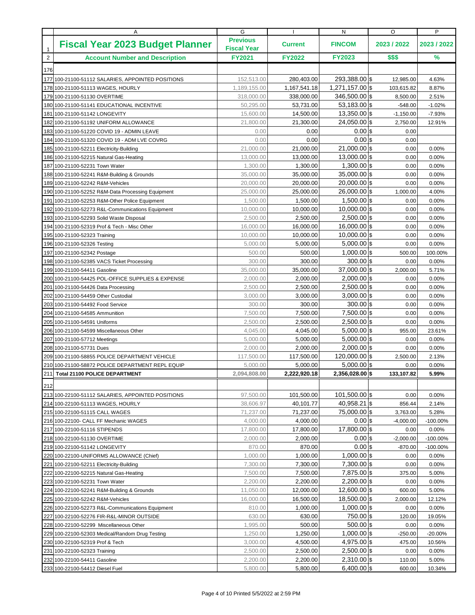|                                                                                                                                     |                                |                | P              |
|-------------------------------------------------------------------------------------------------------------------------------------|--------------------------------|----------------|----------------|
| <b>Previous</b><br><b>Fiscal Year 2023 Budget Planner</b><br><b>Current</b><br><b>Fiscal Year</b><br>$\mathbf{1}$                   | <b>FINCOM</b>                  | 2023 / 2022    | 2023 / 2022    |
| $\sqrt{2}$<br><b>Account Number and Description</b><br><b>FY2021</b><br><b>FY2022</b>                                               | <b>FY2023</b>                  | \$\$\$         | $\frac{9}{6}$  |
| 176                                                                                                                                 |                                |                |                |
| 152,513.00<br>280,403.00<br>177 100-21100-51112 SALARIES, APPOINTED POSITIONS                                                       | 293,388.00 \$                  | 12,985.00      | 4.63%          |
| 1,167,541.18<br>1,189,155.00<br>178 100-21100-51113 WAGES, HOURLY                                                                   | 1,271,157.00 \$                | 103,615.82     | 8.87%          |
| 318,000.00<br>338,000.00<br>179 100-21100-51130 OVERTIME                                                                            | 346,500.00 \$                  | 8,500.00       | 2.51%          |
| 50,295.00<br>53,731.00<br>180 100-21100-51141 EDUCATIONAL INCENTIVE                                                                 | $53,183.00$ \$                 | $-548.00$      | $-1.02%$       |
| 15,600.00<br>14,500.00<br>181 100-21100-51142 LONGEVITY                                                                             | $13.350.00$ \$                 | $-1,150.00$    | $-7.93%$       |
| 182 100-21100-51192 UNIFORM ALLOWANCE<br>21,800.00<br>21,300.00                                                                     | $24,050.00$ \$                 | 2,750.00       | 12.91%         |
| 0.00<br>183 100-21100-51220 COVID 19 - ADMIN LEAVE                                                                                  | $0.00$ \$<br>0.00              | 0.00           |                |
| 0.00<br>184 100-21100-51320 COVID 19 - ADM LVE COVRG                                                                                | $0.00$ \$<br>0.00              | 0.00           |                |
| 21,000.00<br>21,000.00<br>185 100-21100-52211 Electricity-Building                                                                  | $21,000.00$ \$                 | 0.00           | 0.00%          |
| 13,000.00<br>13,000.00<br>186 100-21100-52215 Natural Gas-Heating                                                                   | $13,000.00$ \$                 | 0.00           | 0.00%          |
| 1,300.00<br>1,300.00<br>187<br>100-21100-52231 Town Water                                                                           | $1,300.00$ \$                  | 0.00           | 0.00%          |
| 35,000.00<br>35,000.00<br>188 100-21100-52241 R&M-Building & Grounds                                                                | 35,000.00 \$                   | 0.00           | 0.00%          |
| 189 100-21100-52242 R&M-Vehicles<br>20,000.00<br>20,000.00                                                                          | $20,000.00$ \$                 | 0.00           | 0.00%          |
| 25,000.00<br>25,000.00<br>190 100-21100-52252 R&M-Data Processing Equipment                                                         | $26,000.00$ \$                 | 1,000.00       | 4.00%          |
| 1,500.00<br>1,500.00<br>191 100-21100-52253 R&M-Other Police Equipment                                                              | $1,500.00$ \$                  | 0.00           | 0.00%          |
| 10,000.00<br>10,000.00<br>192 100-21100-52273 R&L-Communications Equipment                                                          | $10,000.00$ \$                 | 0.00           | 0.00%          |
| 2,500.00<br>2,500.00<br>193 100-21100-52293 Solid Waste Disposal                                                                    | $2,500.00$ \$                  | 0.00           | 0.00%          |
| 16,000.00<br>16,000.00<br>194 100-21100-52319 Prof & Tech - Misc Other                                                              | $16,000.00$ \$                 | 0.00           | 0.00%          |
| 10,000.00<br>10,000.00<br>195 100-21100-52323 Training                                                                              | $10,000.00$ \$                 | 0.00           | 0.00%          |
| 5,000.00<br>5,000.00<br>196 100-21100-52326 Testing                                                                                 | $5,000.00$ \$                  | 0.00           | 0.00%          |
| 197 100-21100-52342 Postage<br>500.00                                                                                               | $1,000.00$ \$<br>500.00        | 500.00         | 100.00%        |
| 300.00<br>198 100-21100-52385 VACS Ticket Processing                                                                                | $300.00$ \$<br>300.00          | 0.00           | 0.00%          |
| 35,000.00<br>35,000.00<br>199 100-21100-54411 Gasoline                                                                              | 37,000.00 \$                   | 2,000.00       | 5.71%          |
| 2,000.00<br>2,000.00<br>200 100-21100-54425 POL-OFFICE SUPPLIES & EXPENSE                                                           | $2,000.00$ \$                  | 0.00           | 0.00%          |
| 2,500.00<br>201 100-21100-54426 Data Processing<br>2,500.00                                                                         | $2,500.00$ \$                  | 0.00           | 0.00%          |
| 202 100-21100-54459 Other Custodial<br>3,000.00<br>3,000.00                                                                         | $3,000.00$ \$                  | 0.00           | 0.00%          |
| 300.00<br>203 100-21100-54492 Food Service                                                                                          | $300.00$ \$<br>300.00          | 0.00           | 0.00%          |
| 7,500.00<br>7,500.00<br>204 100-21100-54585 Ammunition                                                                              | $7,500.00$ \$                  | 0.00           | 0.00%          |
| 2,500.00<br>2,500.00<br>205 100-21100-54591 Uniforms                                                                                | $2,500.00$ \$                  | 0.00           | 0.00%          |
| 4,045.00<br>4,045.00<br>206 100-21100-54599 Miscellaneous Other                                                                     | $5,000.00$ \$<br>$5,000.00$ \$ | 955.00         | 23.61%         |
| 5,000.00<br>5,000.00<br>207 100-21100-57712 Meetings<br>2,000.00<br>208 100-21100-57731 Dues<br>2,000.00                            | $2,000.00$ \$                  | 0.00<br>0.00   | 0.00%          |
| 117,500.00<br>117,500.00<br>209 100-21100-58855 POLICE DEPARTMENT VEHICLE                                                           | $120,000.00$ \$                | 2,500.00       | 0.00%<br>2.13% |
| 5,000.00<br>5,000.00<br>210 100-21100-58872 POLICE DEPARTMENT REPL EQUIP                                                            | $5,000.00$ \$                  | 0.00           | 0.00%          |
| 211 Total 21100 POLICE DEPARTMENT<br>2,094,808.00<br>2,222,920.18                                                                   | 2,356,028.00 \$                | 133,107.82     | 5.99%          |
|                                                                                                                                     |                                |                |                |
| 212                                                                                                                                 |                                |                |                |
| 97,500.00<br>101,500.00<br>213 100-22100-51112 SALARIES, APPOINTED POSITIONS                                                        | 101,500.00 \$                  | 0.00           | 0.00%          |
| 38,606.97<br>40,101.77<br>214 100-22100-51113 WAGES, HOURLY                                                                         | 40,958.21 \$                   | 856.44         | 2.14%          |
| 71,237.00<br>71,237.00<br>215 100-22100-51115 CALL WAGES                                                                            | 75,000.00 \$                   | 3,763.00       | 5.28%          |
| 4,000.00<br>4,000.00<br>216 100-22100- CALL FF Mechanic WAGES                                                                       | $0.00$ \$                      | $-4,000.00$    | -100.00%       |
| 17,800.00<br>17,800.00<br>217 100-22100-51116 STIPENDS                                                                              | 17,800.00 \$                   | 0.00           | $0.00\%$       |
| 2,000.00<br>2,000.00<br>218 100-22100-51130 OVERTIME                                                                                | $0.00$ \$<br>$0.00$ \$         | $-2,000.00$    | $-100.00\%$    |
| 870.00<br>219 100-22100-51142 LONGEVITY                                                                                             | 870.00<br>$1,000.00$ \$        | $-870.00$      | $-100.00\%$    |
| 1,000.00<br>1,000.00<br>220 100-22100-UNIFORMS ALLOWANCE (Chief)                                                                    | $7,300.00$ \$                  | 0.00           | 0.00%          |
| 7,300.00<br>7,300.00<br>221 100-22100-52211 Electricity-Building<br>222 100-22100-52215 Natural Gas-Heating<br>7,500.00<br>7,500.00 | 7,875.00 \$                    | 0.00<br>375.00 | 0.00%<br>5.00% |
| 2,200.00<br>2,200.00<br>223 100-22100-52231 Town Water                                                                              | $2,200.00$ \$                  | 0.00           | 0.00%          |
| 11,050.00<br>12,000.00<br>224 100-22100-52241 R&M-Building & Grounds                                                                | $12,600.00$ \$                 | 600.00         | 5.00%          |
| 16,000.00<br>16,500.00<br>225 100-22100-52242 R&M-Vehicles                                                                          | $18,500.00$ \$                 | 2,000.00       | 12.12%         |
| 810.00<br>1,000.00<br>226 100-22100-52273 R&L-Communications Equipment                                                              | $1,000.00$ \$                  | 0.00           | 0.00%          |
| 227 100-22100-52276 FIR-R&L-MINOR OUTSIDE<br>630.00                                                                                 | 750.00 \$<br>630.00            | 120.00         | 19.05%         |
| 1,995.00<br>228 100-22100-52299 Miscellaneous Other                                                                                 | $500.00$ \$<br>500.00          | 0.00           | 0.00%          |
| 1,250.00<br>1,250.00<br>229 100-22100-52303 Medical/Random Drug Testing                                                             | $1,000.00$ \$                  | $-250.00$      | $-20.00%$      |
| 3,000.00<br>4,500.00<br>230 100-22100-52319 Prof & Tech                                                                             | $4,975.00$ \$                  | 475.00         | 10.56%         |
| 2,500.00<br>2,500.00<br>231 100-22100-52323 Training                                                                                | $2,500.00$ \$                  | 0.00           | 0.00%          |
| 2,200.00<br>2,200.00<br>232 100-22100-54411 Gasoline                                                                                | $2,310.00$ \$                  | 110.00         | 5.00%          |
| 5,800.00<br>5,800.00<br>233 100-22100-54412 Diesel Fuel                                                                             | $6,400.00$ \$                  | 600.00         | 10.34%         |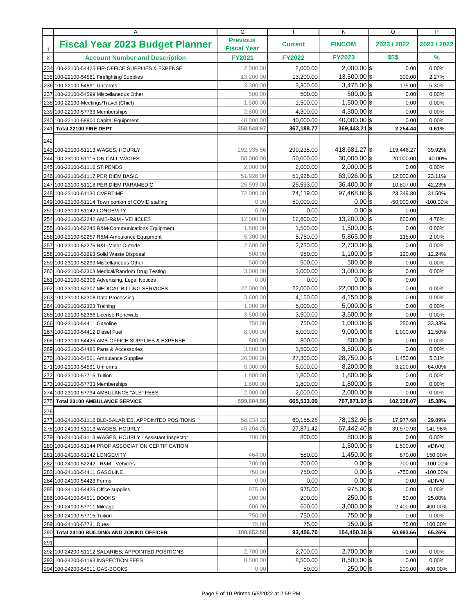|                | Α                                                       | G                                     |                | N              | O            | P           |
|----------------|---------------------------------------------------------|---------------------------------------|----------------|----------------|--------------|-------------|
| $\mathbf{1}$   | <b>Fiscal Year 2023 Budget Planner</b>                  | <b>Previous</b><br><b>Fiscal Year</b> | <b>Current</b> | <b>FINCOM</b>  | 2023 / 2022  | 2023 / 2022 |
| $\overline{2}$ | <b>Account Number and Description</b>                   | <b>FY2021</b>                         | <b>FY2022</b>  | <b>FY2023</b>  | \$\$\$       | %           |
|                | 234 100-22100-54425 FIR-OFFICE SUPPLIES & EXPENSE       | 2,000.00                              | 2,000.00       | $2,000.00$ \$  | 0.00         | 0.00%       |
|                | 235 100-22100-54581 Firefighting Supplies               | 13,200.00                             | 13,200.00      | $13,500.00$ \$ | 300.00       | 2.27%       |
|                | 236 100-22100-54591 Uniforms                            | 3,300.00                              | 3,300.00       | $3,475.00$ \$  | 175.00       | 5.30%       |
|                | 237 100-22100-54599 Miscellaneous Other                 | 500.00                                | 500.00         | $500.00$ \$    | 0.00         | 0.00%       |
|                | 238 100-22100-Meetings/Travel (Chief)                   | 1,500.00                              | 1,500.00       | $1,500.00$ \$  | 0.00         | 0.00%       |
|                | 239 100-22100-57733 Memberships                         | 2,800.00                              | 4,300.00       | $4,300.00$ \$  | 0.00         | 0.00%       |
|                | 240 100-22100-58800 Capital Equipment                   | 40,000.00                             | 40,000.00      | $40,000.00$ \$ | 0.00         | 0.00%       |
| 241            | Total 22100 FIRE DEPT                                   | 358,548.97                            | 367,188.77     | 369,443.21 \$  | 2,254.44     | 0.61%       |
| 242            |                                                         |                                       |                |                |              |             |
|                | 243 100-23100-51113 WAGES, HOURLY                       | 292,935.56                            | 299,235.00     | 418,681.27 \$  | 119,446.27   | 39.92%      |
|                | 244 100-23100-51115 ON CALL WAGES                       | 50,000.00                             | 50,000.00      | $30,000.00$ \$ | $-20,000.00$ | -40.00%     |
|                | 245 100-23100-51116 STIPENDS                            | 2,000.00                              | 2,000.00       | $2,000.00$ \$  | 0.00         | 0.00%       |
|                | 246 100-23100-51117 PER DIEM BASIC                      | 51,926.00                             | 51,926.00      | $63,926.00$ \$ | 12,000.00    | 23.11%      |
|                | 247 100-23100-51118 PER DIEM PARAMEDIC                  | 25,593.00                             | 25,593.00      | $36,400.00$ \$ | 10,807.00    | 42.23%      |
|                | 248 100-23100-51130 OVERTIME                            | 72,000.00                             | 74,119.00      | 97,468.80 \$   | 23,349.80    | 31.50%      |
|                | 249 100-23100-51114 Town portion of COVID staffing      | 0.00                                  | 50,000.00      | $0.00$ \$      | $-50,000.00$ | $-100.00\%$ |
|                | 250 100-23100-51142 LONGEVITY                           | 0.00                                  | 0.00           | $0.00$ \$      | 0.00         |             |
|                | 254 100-23100-52242 AMB-R&M - VEHICLES                  | 12,000.00                             | 12,600.00      | $13,200.00$ \$ | 600.00       | 4.76%       |
|                | 255 100-23100-52245 R&M-Communications Equipment        | 1,500.00                              | 1,500.00       | $1,500.00$ \$  | 0.00         | 0.00%       |
|                | 256 100-23100-52257 R&M-Ambulance Equipment             | 5,300.00                              | 5,750.00       | 5,865.00 \$    | 115.00       | 2.00%       |
|                | 257 100-23100-52276 R&L-Minor Outside                   | 2,600.00                              | 2,730.00       | $2,730.00$ \$  | 0.00         | 0.00%       |
|                | 258 100-23100-52293 Solid Waste Disposal                | 500.00                                | 980.00         | $1,100.00$ \$  | 120.00       | 12.24%      |
|                | 259 100-23100-52299 Miscellaneous Other                 | 500.00                                | 500.00         | $500.00$ \$    | 0.00         | 0.00%       |
|                | 260 100-23100-52303 Medical/Random Drug Testing         | 3,000.00                              | 3,000.00       | $3,000.00$ \$  | 0.00         | 0.00%       |
|                | 261 100-23100-52306 Advertising, Legal Notices          | 0.00                                  | 0.00           | $0.00$ \$      | 0.00         |             |
|                | 262 100-23100-52307 MEDICAL BILLING SERVICES            | 22,000.00                             | 22,000.00      | $22,000.00$ \$ | 0.00         | 0.00%       |
|                | 263 100-23100-52308 Data Processing                     | 3,600.00                              | 4,150.00       | $4,150.00$ \$  | 0.00         | 0.00%       |
|                | 264 100-23100-52323 Training                            | 1,000.00                              | 5,000.00       | $5,000.00$ \$  | 0.00         | 0.00%       |
|                | 265 100-23100-52356 License Renewals                    | 3,500.00                              | 3,500.00       | $3,500.00$ \$  | 0.00         | 0.00%       |
|                | 266 100-23100-54411 Gasoline                            | 750.00                                | 750.00         | $1,000.00$ \$  | 250.00       | 33.33%      |
|                | 267 100-23100-54412 Diesel Fuel                         | 8,000.00                              | 8,000.00       | $9,000.00$ \$  | 1,000.00     | 12.50%      |
|                | 268 100-23100-54425 AMB-OFFICE SUPPLIES & EXPENSE       | 800.00                                | 800.00         | $800.00$ \$    | 0.00         | 0.00%       |
|                | 269 100-23100-54485 Parts & Accessories                 | 3,500.00                              | 3,500.00       | $3,500.00$ \$  | 0.00         | 0.00%       |
|                | 270 100-23100-54501 Ambulance Supplies                  | 26,000.00                             | 27,300.00      | 28,750.00 \$   | 1,450.00     | 5.31%       |
|                | 271 100-23100-54591 Uniforms                            | 5,000.00                              | 5,000.00       | $8,200.00$ \$  | 3,200.00     | 64.00%      |
|                | 272 100-23100-57715 Tuition                             | 1,800.00                              | 1,800.00       | $1,800.00$ \$  | 0.00         | 0.00%       |
|                | 273 100-23100-57733 Memberships                         | 1,800.00                              | 1,800.00       | $1,800.00$ \$  | 0.00         | 0.00%       |
|                | 274 100-23100-57734 AMBULANCE "ALS" FEES                | 2,000.00                              | 2,000.00       | $2,000.00$ \$  | 0.00         | 0.00%       |
|                | 275 Total 23100 AMBULANCE SERVICE                       | 599,604.56                            | 665,533.00     | 767,871.07 \$  | 102,338.07   | 15.38%      |
| 276            |                                                         |                                       |                |                |              |             |
|                | 277 100-24100-51112 BLD-SALARIES, APPOINTED POSITIONS   | 58,234.32                             | 60,155.28      | 78,132.96 \$   | 17,977.68    | 29.89%      |
|                | 278 100-24100-51113 WAGES, HOURLY                       | 45,204.26                             | 27,871.42      | $67,442.40$ \$ | 39,570.98    | 141.98%     |
|                | 279 100-24100-51113 WAGES, HOURLY - Assistant Inspector | 700.00                                | 800.00         | $800.00$ \$    | 0.00         | 0.00%       |
|                | 280 100-24100-51144 PROF ASSOCIATION CERTIFICATION      |                                       |                | $1,500.00$ \$  | 1,500.00     | #DIV/0!     |
|                | 281 100-24100-51142 LONGEVITY                           | 464.00                                | 580.00         | $1,450.00$ \$  | 870.00       | 150.00%     |
|                | 282 100-24100-52242 - R&M - Vehicles                    | 700.00                                | 700.00         | $0.00$ \$      | $-700.00$    | $-100.00\%$ |
|                | 283 100-24100-54411 GASOLINE                            | 750.00                                | 750.00         | $0.00$ \$      | $-750.00$    | $-100.00\%$ |
|                | 284 100-24100-54423 Forms                               | 0.00                                  | 0.00           | $0.00$ \$      | 0.00         | #DIV/0!     |
|                | 285 100-24100-54425 Office supplies                     | 975.00                                | 975.00         | $975.00$ \$    | 0.00         | $0.00\%$    |
|                | 286 100-24100-54511 BOOKS                               | 200.00                                | 200.00         | $250.00$ \$    | 50.00        | 25.00%      |
|                | 287 100-24100-57711 Mileage                             | 600.00                                | 600.00         | $3,000.00$ \$  | 2,400.00     | 400.00%     |
|                | 288 100-24100-57715 Tuition                             | 750.00                                | 750.00         | 750.00 \$      | 0.00         | $0.00\%$    |
|                | 289 100-24100-57731 Dues                                | 75.00                                 | 75.00          | $150.00$ \$    | 75.00        | 100.00%     |
|                | 290 Total 24100 BUILDING AND ZONING OFFICER             | 108,652.58                            | 93,456.70      | 154,450.36 \$  | 60,993.66    | 65.26%      |
| 291            |                                                         |                                       |                |                |              |             |
|                | 292 100-24200-51112 SALARIES, APPOINTED POSITIONS       | 2,700.00                              | 2,700.00       | $2,700.00$ \$  | 0.00         | 0.00%       |
|                | 293 100-24200-51193 INSPECTION FEES                     | 8,500.00                              | 8,500.00       | $8,500.00$ \$  | 0.00         | $0.00\%$    |
|                | 294 100-24200-54511 GAS-BOOKS                           | 0.00                                  | 50.00          | $250.00$ \$    | 200.00       | 400.00%     |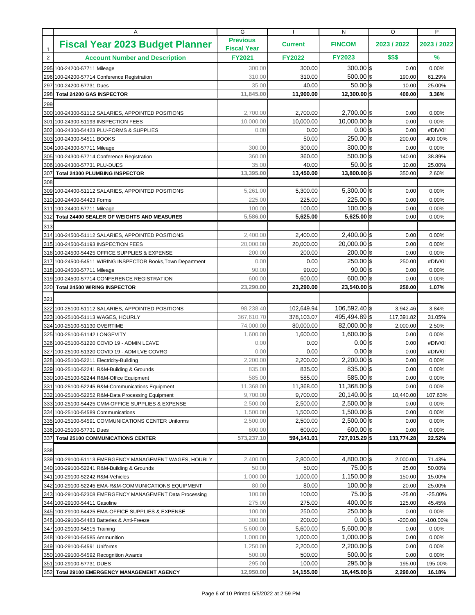|                | Α                                                                                                     | G                                     |                     | N                            | O                 | P                 |
|----------------|-------------------------------------------------------------------------------------------------------|---------------------------------------|---------------------|------------------------------|-------------------|-------------------|
| $\mathbf{1}$   | <b>Fiscal Year 2023 Budget Planner</b>                                                                | <b>Previous</b><br><b>Fiscal Year</b> | <b>Current</b>      | <b>FINCOM</b>                | 2023 / 2022       | 2023 / 2022       |
| $\overline{2}$ | <b>Account Number and Description</b>                                                                 | <b>FY2021</b>                         | <b>FY2022</b>       | <b>FY2023</b>                | \$\$\$            | %                 |
|                | 295 100-24200-57711 Mileage                                                                           | 300.00                                | 300.00              | $300.00$ \$                  | 0.00              | 0.00%             |
|                | 296 100-24200-57714 Conference Registration                                                           | 310.00                                | 310.00              | $500.00$ \$                  | 190.00            | 61.29%            |
| 297            | 100-24200-57731 Dues                                                                                  | 35.00                                 | 40.00               | $50.00$ \\$                  | 10.00             | 25.00%            |
| 298            | <b>Total 24200 GAS INSPECTOR</b>                                                                      | 11,845.00                             | 11,900.00           | 12,300.00 \$                 | 400.00            | 3.36%             |
| 299            |                                                                                                       |                                       |                     |                              |                   |                   |
|                | 300 100-24300-51112 SALARIES, APPOINTED POSITIONS                                                     | 2,700.00                              | 2,700.00            | $2,700.00$ \$                | 0.00              | 0.00%             |
|                | 301 100-24300-51193 INSPECTION FEES                                                                   | 10,000.00                             | 10.000.00           | $10,000.00$ \$               | 0.00              | 0.00%             |
|                | 302 100-24300-54423 PLU-FORMS & SUPPLIES                                                              | 0.00                                  | 0.00                | $0.00$ \$                    | 0.00              | #DIV/0!           |
|                | 303 100-24300-54511 BOOKS                                                                             |                                       | 50.00               | 250.00 \$                    | 200.00            | 400.00%           |
|                | 304 100-24300-57711 Mileage                                                                           | 300.00                                | 300.00              | $300.00$ \$                  | 0.00              | 0.00%             |
|                | 305 100-24300-57714 Conference Registration                                                           | 360.00                                | 360.00              | $500.00$ \$                  | 140.00            | 38.89%            |
|                | 306 100-24300-57731 PLU-DUES                                                                          | 35.00                                 | 40.00               | $50.00$ \$                   | 10.00             | 25.00%            |
| 307            | <b>Total 24300 PLUMBING INSPECTOR</b>                                                                 | 13,395.00                             | 13,450.00           | 13,800.00 \$                 | 350.00            | 2.60%             |
| 308            |                                                                                                       |                                       |                     |                              |                   |                   |
|                | 309 100-24400-51112 SALARIES, APPOINTED POSITIONS                                                     | 5,261.00                              | 5,300.00            | $5,300.00$ \$                | 0.00              | 0.00%             |
|                | 310 100-24400-54423 Forms                                                                             | 225.00                                | 225.00              | $225.00$ \$                  | 0.00              | 0.00%             |
|                | 311 100-24400-57711 Mileage                                                                           | 100.00                                | 100.00              | $100.00$ \$                  | 0.00              | 0.00%             |
| 312            | Total 24400 SEALER OF WEIGHTS AND MEASURES                                                            | 5,586.00                              | 5,625.00            | $5,625.00$ \$                | 0.00              | 0.00%             |
| 313            |                                                                                                       |                                       |                     |                              |                   |                   |
|                | 314 100-24500-51112 SALARIES, APPOINTED POSITIONS                                                     | 2,400.00                              | 2,400.00            | $2,400.00$ \$                | 0.00              | 0.00%             |
|                | 315 100-24500-51193 INSPECTION FEES                                                                   | 20,000.00                             | 20,000.00           | 20,000.00 \$                 | 0.00              | 0.00%             |
|                | 316 100-24500-54425 OFFICE SUPPLIES & EXPENSE                                                         | 200.00                                | 200.00              | $200.00$ \$                  | 0.00              | 0.00%             |
|                | 317 100-24500-54511 WIRING INSPECTOR Books, Town Department                                           | 0.00                                  | 0.00                | $250.00$ \$<br>$90.00$ \$    | 250.00            | #DIV/0!           |
|                | 318 100-24500-57711 Mileage                                                                           | 90.00                                 | 90.00               | $600.00$ \$                  | 0.00              | 0.00%             |
| 320            | 319 100-24500-57714 CONFERENCE REGISTRATION<br><b>Total 24500 WIRING INSPECTOR</b>                    | 600.00<br>23,290.00                   | 600.00<br>23,290.00 | 23,540.00 \$                 | 0.00<br>250.00    | 0.00%<br>1.07%    |
|                |                                                                                                       |                                       |                     |                              |                   |                   |
| 321            |                                                                                                       |                                       |                     |                              |                   |                   |
|                | 322 100-25100-51112 SALARIES, APPOINTED POSITIONS                                                     | 98,238.40                             | 102,649.94          | 106,592.40 \$                | 3,942.46          | 3.84%             |
|                | 323 100-25100-51113 WAGES, HOURLY                                                                     | 367,610.70                            | 378,103.07          | 495,494.89 \$                | 117,391.82        | 31.05%            |
|                | 324 100-25100-51130 OVERTIME                                                                          | 74,000.00                             | 80,000.00           | 82,000.00 \$                 | 2,000.00          | 2.50%             |
|                | 325 100-25100-51142 LONGEVITY                                                                         | 1,600.00                              | 1,600.00            | $1,600.00$ \$                | 0.00              | 0.00%             |
|                | 326 100-25100-51220 COVID 19 - ADMIN LEAVE                                                            | 0.00                                  | 0.00                | $0.00$ \$                    | 0.00              | #DIV/0!           |
| 327            | 100-25100-51320 COVID 19 - ADM LVE COVRG                                                              | 0.00                                  | 0.00                | $0.00$ \$                    | 0.00              | #DIV/0!           |
|                | 328 100-25100-52211 Electricity-Building                                                              | 2,200.00                              | 2,200.00            | $2,200.00$ \$<br>$835.00$ \$ | 0.00              | 0.00%             |
|                | 329 100-25100-52241 R&M-Building & Grounds                                                            | 835.00<br>585.00                      | 835.00<br>585.00    | 585.00 \$                    | 0.00              | 0.00%             |
|                | 330 100-25100-52244 R&M-Office Equipment                                                              |                                       | 11,368.00           | 11,368.00 \$                 | 0.00              | 0.00%             |
|                | 331 100-25100-52245 R&M-Communications Equipment<br>332 100-25100-52252 R&M-Data Processing Equipment | 11,368.00<br>9,700.00                 | 9,700.00            | $20,140.00$ \$               | 0.00<br>10,440.00 | 0.00%<br>107.63%  |
|                | 333 100-25100-54425 CMM-OFFICE SUPPLIES & EXPENSE                                                     | 2,500.00                              | 2,500.00            | $2,500.00$ \$                | 0.00              | $0.00\%$          |
|                | 334 100-25100-54589 Communications                                                                    | 1,500.00                              | 1,500.00            | $1,500.00$ \$                | 0.00              | $0.00\%$          |
|                | 335 100-25100-54591 COMMUNICATIONS CENTER Uniforms                                                    | 2,500.00                              | 2,500.00            | $2,500.00$ \$                | 0.00              | 0.00%             |
|                | 336 100-25100-57731 Dues                                                                              | 600.00                                | 600.00              | $600.00$ \$                  | 0.00              | 0.00%             |
| 337            | <b>Total 25100 COMMUNICATIONS CENTER</b>                                                              | 573,237.10                            | 594,141.01          | 727,915.29 \$                | 133,774.28        | 22.52%            |
|                |                                                                                                       |                                       |                     |                              |                   |                   |
| 338            |                                                                                                       |                                       |                     |                              |                   |                   |
|                | 339 100-29100-51113 EMERGENCY MANAGEMENT WAGES, HOURLY                                                | 2,400.00                              | 2,800.00            | $4,800.00$ \$<br>$75.00$ \$  | 2,000.00          | 71.43%            |
|                | 340 100-29100-52241 R&M-Building & Grounds<br>341 100-29100-52242 R&M-Vehicles                        | 50.00<br>1,000.00                     | 50.00<br>1,000.00   | $1,150.00$ \$                | 25.00<br>150.00   | 50.00%<br>15.00%  |
|                | 342 100-29100-52245 EMA-R&M-COMMUNICATIONS EQUIPMENT                                                  | 80.00                                 | 80.00               | $100.00$ \$                  | 20.00             |                   |
|                | 343 100-29100-52308 EMERGENCY MANAGEMENT Data Processing                                              | 100.00                                | 100.00              | $75.00$ \$                   | $-25.00$          | 25.00%<br>-25.00% |
|                | 344 100-29100-54411 Gasoline                                                                          | 275.00                                | 275.00              | $400.00$ \$                  | 125.00            | 45.45%            |
|                | 345 100-29100-54425 EMA-OFFICE SUPPLIES & EXPENSE                                                     | 100.00                                | 250.00              | $250.00$ \$                  | 0.00              | $0.00\%$          |
|                | 346 100-29100-54483 Batteries & Anti-Freeze                                                           | 300.00                                | 200.00              | $0.00$ \$                    | $-200.00$         | $-100.00\%$       |
|                | 347 100-29100-54515 Training                                                                          | 5,600.00                              | 5,600.00            | $5,600.00$ \$                | 0.00              | 0.00%             |
|                | 348 100-29100-54585 Ammunition                                                                        | 1,000.00                              | 1,000.00            | $1,000.00$ \$                | 0.00              | 0.00%             |
|                | 349 100-29100-54591 Uniforms                                                                          | 1,250.00                              | 2,200.00            | $2,200.00$ \$                | 0.00              | $0.00\%$          |
|                | 350 100-29100-54592 Recognition Awards                                                                | 500.00                                | 500.00              | $500.00$ \$                  | 0.00              | $0.00\%$          |
|                | 351 100-29100-57731 DUES                                                                              | 295.00                                | 100.00              | $295.00$ \$                  | 195.00            | 195.00%           |
|                | 352 Total 29100 EMERGENCY MANAGEMENT AGENCY                                                           | 12,950.00                             | 14,155.00           | 16,445.00 \$                 | 2,290.00          | 16.18%            |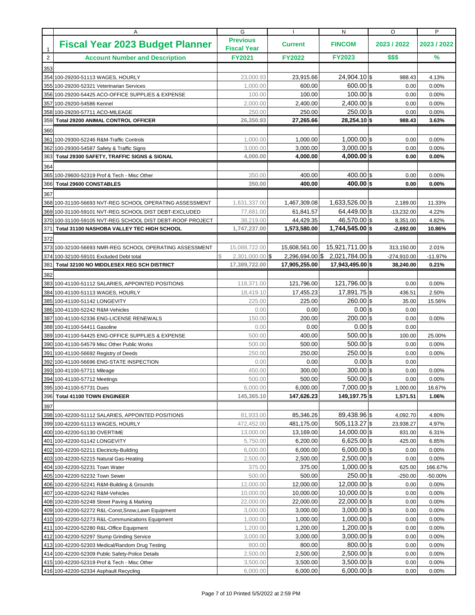|              | Α                                                         | G                                     | $\mathbf{I}$            | N                               | O                     | P               |
|--------------|-----------------------------------------------------------|---------------------------------------|-------------------------|---------------------------------|-----------------------|-----------------|
| $\mathbf{1}$ | <b>Fiscal Year 2023 Budget Planner</b>                    | <b>Previous</b><br><b>Fiscal Year</b> | <b>Current</b>          | <b>FINCOM</b>                   | 2023 / 2022           | 2023 / 2022     |
| $\sqrt{2}$   | <b>Account Number and Description</b>                     | <b>FY2021</b>                         | <b>FY2022</b>           | <b>FY2023</b>                   | \$\$\$                | $\frac{9}{6}$   |
| 353          |                                                           |                                       |                         |                                 |                       |                 |
|              | 354 100-29200-51113 WAGES, HOURLY                         | 23.000.93                             | 23,915.66               | 24,904.10 \$                    | 988.43                | 4.13%           |
|              | 355 100-29200-52321 Veterinarian Services                 | 1.000.00                              | 600.00                  | $600.00$ \\ \$                  | 0.00                  | 0.00%           |
|              | 356 100-29200-54425 ACO-OFFICE SUPPLIES & EXPENSE         | 100.00                                | 100.00                  | $100.00$ \$                     | 0.00                  | 0.00%           |
|              | 357 100-29200-54586 Kennel                                | 2,000.00                              | 2,400.00                | $2,400.00$ \$                   | 0.00                  | 0.00%           |
|              | 358 100-29200-57711 ACO-MILEAGE                           | 250.00                                | 250.00                  | 250.00 \$                       | 0.00                  | 0.00%           |
| 359          | Total 29200 ANIMAL CONTROL OFFICER                        | 26,350.93                             | 27.265.66               | 28,254.10 \$                    | 988.43                | 3.63%           |
| 360          |                                                           |                                       |                         |                                 |                       |                 |
|              | 361 100-29300-52246 R&M-Traffic Controls                  | 1,000.00                              | 1,000.00                | $1,000.00$ \$                   | 0.00                  | 0.00%           |
| 362          | 100-29300-54587 Safety & Traffic Signs                    | 3,000.00                              | 3,000.00                | $3,000.00$ \$                   | 0.00                  | 0.00%           |
| 363          | Total 29300 SAFETY, TRAFFIC SIGNS & SIGNAL                | 4,000.00                              | 4,000.00                | $4,000.00$ \$                   | 0.00                  | $0.00\%$        |
| 364          |                                                           |                                       |                         |                                 |                       |                 |
|              | 365 100-29600-52319 Prof & Tech - Misc Other              | 350.00                                | 400.00                  | $400.00$ \$                     | 0.00                  | 0.00%           |
| 366          | <b>Total 29600 CONSTABLES</b>                             | 350.00                                | 400.00                  | $400.00$ \$                     | 0.00                  | 0.00%           |
| 367          |                                                           |                                       |                         |                                 |                       |                 |
|              | 368 100-31100-56693 NVT-REG SCHOOL OPERATING ASSESSMENT   | 1,631,337.00                          | 1,467,309.08            | 1,633,526.00 \$                 | 2,189.00              | 11.33%          |
|              | 369 100-31100-59101 NVT-REG SCHOOL DIST DEBT-EXCLUDED     | 77,681.00                             | 61,841.57               | 64,449.00 \$                    | $-13,232.00$          | 4.22%           |
|              | 370 100-31100-59105 NVT-REG SCHOOL DIST DEBT-ROOF PROJECT | 38,219.00                             | 44,429.35               | 46,570.00 \$                    | 8,351.00              | 4.82%           |
| 371          | Total 31100 NASHOBA VALLEY TEC HIGH SCHOOL                | 1,747,237.00                          | 1,573,580.00            | 1,744,545.00 \$                 | $-2,692.00$           | 10.86%          |
| 372          |                                                           |                                       |                         |                                 |                       |                 |
|              | 373 100-32100-56693 NMR-REG SCHOOL OPERATING ASSESSMENT   | 15,088,722.00                         | 15,608,561.00           | 15,921,711.00 \$                | 313,150.00            | 2.01%           |
|              | 374 100-32100-59101 Excluded Debt total                   | $2,301,000.00$ \$                     |                         | 2,296,694.00 \$ 2,021,784.00 \$ | $-274,910.00$         | $-11.97%$       |
|              | 381 Total 32100 NO MIDDLESEX REG SCH DISTRICT             | 17,389,722.00                         | 17,905,255.00           | 17,943,495.00 \$                | 38,240.00             | 0.21%           |
| 382          |                                                           |                                       |                         |                                 |                       |                 |
|              | 383 100-41100-51112 SALARIES, APPOINTED POSITIONS         | 118,371.00                            | 121,796.00              | 121,796.00 \$                   | 0.00                  | 0.00%           |
|              | 384 100-41100-51113 WAGES, HOURLY                         | 18,419.10                             | 17,455.23               | 17,891.75 \$                    | 436.51                | 2.50%           |
|              | 385 100-41100-51142 LONGEVITY                             | 225.00                                | 225.00                  | $260.00$ \$                     | 35.00                 | 15.56%          |
|              | 386 100-41100-52242 R&M-Vehicles                          | 0.00                                  | 0.00                    | $0.00$ \$                       | 0.00                  |                 |
|              | 387 100-41100-52336 ENG-LICENSE RENEWALS                  | 150.00                                | 200.00                  | $200.00$ \$                     | 0.00                  | 0.00%           |
|              | 388 100-41100-54411 Gasoline                              | 0.00                                  | 0.00                    | $0.00$ \$                       | 0.00                  |                 |
|              | 389 100-41100-54425 ENG-OFFICE SUPPLIES & EXPENSE         | 500.00                                | 400.00                  | $500.00$ \$                     | 100.00                | 25.00%          |
|              | 390 100-41100-54579 Misc Other Public Works               | 500.00                                | 500.00                  | $500.00$ \$                     | 0.00                  | 0.00%           |
|              | 391 100-41100-56692 Registry of Deeds                     | 250.00                                | 250.00                  | $250.00$ \$                     | 0.00                  | 0.00%           |
| 392          | 100-41100-56696 ENG-STATE INSPECTION                      | 0.00                                  | 0.00                    | $0.00$ \$                       | 0.00                  |                 |
|              | 393 100-41100-57711 Mileage                               | 450.00                                | 300.00                  | $300.00$ \$                     | 0.00                  | 0.00%           |
|              | 394 100-41100-57712 Meetings                              | 500.00                                | 500.00                  | $500.00$ \$<br>$7,000.00$ \$    | 0.00                  | 0.00%           |
|              | 395 100-41100-57731 Dues<br>396 Total 41100 TOWN ENGINEER | 6,000.00<br>145,365.10                | 6,000.00<br>147,626.23  | 149,197.75 \$                   | 1,000.00<br>1,571.51  | 16.67%<br>1.06% |
|              |                                                           |                                       |                         |                                 |                       |                 |
| 397          | 398 100-42200-51112 SALARIES, APPOINTED POSITIONS         | 81,933.00                             |                         | 89,438.96 \$                    |                       | 4.80%           |
|              | 399 100-42200-51113 WAGES, HOURLY                         | 472,452.00                            | 85,346.26<br>481,175.00 | $505,113.27$ \$                 | 4,092.70<br>23,938.27 | 4.97%           |
|              | 400 100-42200-51130 OVERTIME                              | 13,000.00                             | 13,169.00               | $14,000.00$ \$                  | 831.00                | 6.31%           |
|              | 401 100-42200-51142 LONGEVITY                             | 5,750.00                              | 6,200.00                | $6,625.00$ \$                   | 425.00                | 6.85%           |
|              | 402 100-42200-52211 Electricity-Building                  | 6,000.00                              | 6,000.00                | $6,000.00$ \$                   | 0.00                  | $0.00\%$        |
|              | 403 100-42200-52215 Natural Gas-Heating                   | 2,500.00                              | 2,500.00                | $2,500.00$ \$                   | 0.00                  | 0.00%           |
|              | 404 100-42200-52231 Town Water                            | 375.00                                | 375.00                  | $1,000.00$ \$                   | 625.00                | 166.67%         |
|              | 405 100-42200-52232 Town Sewer                            | 500.00                                | 500.00                  | $250.00$ \$                     | $-250.00$             | -50.00%         |
|              | 406 100-42200-52241 R&M-Building & Grounds                | 12,000.00                             | 12,000.00               | $12,000.00$ \$                  | 0.00                  | 0.00%           |
|              | 407 100-42200-52242 R&M-Vehicles                          | 10,000.00                             | 10,000.00               | $10,000.00$ \$                  | 0.00                  | 0.00%           |
|              | 408 100-42200-52248 Street Paving & Marking               | 22,000.00                             | 22,000.00               | $22,000.00$ \$                  | 0.00                  | 0.00%           |
|              | 409 100-42200-52272 R&L-Const, Snow, Lawn Equipment       | 3,000.00                              | 3,000.00                | $3,000.00$ \$                   | 0.00                  | 0.00%           |
|              | 410 100-42200-52273 R&L-Communications Equipment          | 1,000.00                              | 1,000.00                | $1,000.00$ \$                   | 0.00                  | 0.00%           |
|              | 411 100-42200-52280 R&L-Office Equipment                  | 1,200.00                              | 1,200.00                | $1,200.00$ \$                   | 0.00                  | 0.00%           |
|              | 412 100-42200-52297 Stump Grinding Service                | 3,000.00                              | 3,000.00                | $3,000.00$ \$                   | 0.00                  | 0.00%           |
|              | 413 100-42200-52303 Medical/Random Drug Testing           | 800.00                                | 800.00                  | $800.00$ \$                     | 0.00                  | 0.00%           |
|              | 414 100-42200-52309 Public Safety-Police Details          | 2,500.00                              | 2,500.00                | $2,500.00$ \$                   | 0.00                  | 0.00%           |
|              | 415 100-42200-52319 Prof & Tech - Misc Other              | 3,500.00                              | 3,500.00                | $3,500.00$ \$                   | 0.00                  | 0.00%           |
|              | 416 100-42200-52334 Asphault Recycling                    | 6,000.00                              | 6,000.00                | $6,000.00$ \$                   | 0.00                  | 0.00%           |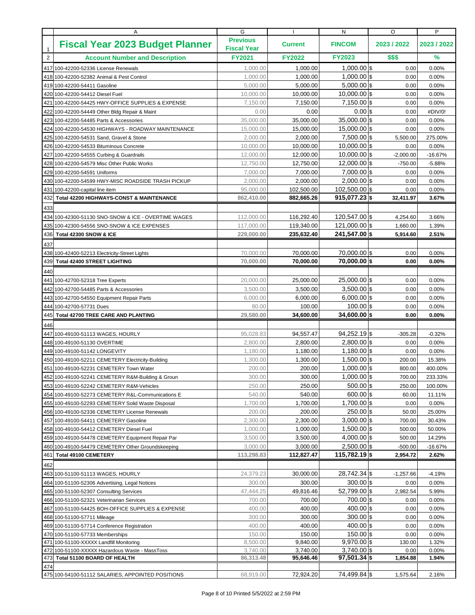|                | Α                                                                                                      | G                                     |                      | N                              | O                   | P                   |
|----------------|--------------------------------------------------------------------------------------------------------|---------------------------------------|----------------------|--------------------------------|---------------------|---------------------|
| $\mathbf{1}$   | <b>Fiscal Year 2023 Budget Planner</b>                                                                 | <b>Previous</b><br><b>Fiscal Year</b> | <b>Current</b>       | <b>FINCOM</b>                  | 2023 / 2022         | 2023 / 2022         |
| $\overline{2}$ | <b>Account Number and Description</b>                                                                  | <b>FY2021</b>                         | <b>FY2022</b>        | <b>FY2023</b>                  | \$\$\$              | %                   |
|                | 417 100-42200-52336 License Renewals                                                                   | 1,000.00                              | 1,000.00             | $1.000.00$ \\$                 | 0.00                | 0.00%               |
|                | 418 100-42200-52382 Animal & Pest Control                                                              | 1,000.00                              | 1,000.00             | 1,000.00 \$                    | 0.00                | 0.00%               |
|                | 419 100-42200-54411 Gasoline                                                                           | 5.000.00                              | 5,000.00             | $5.000.00$ \$                  | 0.00                | 0.00%               |
|                | 420 100-42200-54412 Diesel Fuel                                                                        | 10,000.00                             | 10,000.00            | $10,000.00$ \$                 | 0.00                | 0.00%               |
|                | 421 100-42200-54425 HWY-OFFICE SUPPLIES & EXPENSE                                                      | 7,150.00                              | 7,150.00             | $7,150.00$ \$                  | 0.00                | 0.00%               |
|                | 422 100-42200-54449 Other Bldg Repair & Maint                                                          | 0.00                                  | 0.00                 | $0.00$ s                       | 0.00                | #DIV/0!             |
|                | 423 100-42200-54485 Parts & Accessories                                                                | 35,000.00                             | 35,000.00            | $35,000.00$ \$                 | 0.00                | 0.00%               |
|                | 424 100-42200-54530 HIGHWAYS - ROADWAY MAINTENANCE                                                     | 15,000.00                             | 15,000.00            | 15,000.00 \$                   | 0.00                | 0.00%               |
|                | 425 100-42200-54531 Sand, Gravel & Stone                                                               | 2,000.00                              | 2,000.00             | $7,500.00$ \$                  | 5,500.00            | 275.00%             |
|                | 426 100-42200-54533 Bituminous Concrete                                                                | 10,000.00                             | 10,000.00            | $10,000.00$ \$                 | 0.00                | 0.00%               |
|                | 427 100-42200-54555 Curbing & Guardrails                                                               | 12,000.00                             | 12,000.00            | $10,000.00$ \$                 | $-2,000.00$         | $-16.67%$           |
|                | 428 100-42200-54579 Misc Other Public Works                                                            | 12,750.00                             | 12,750.00            | $12,000.00$ \$                 | $-750.00$           | $-5.88%$            |
|                | 429 100-42200-54591 Uniforms                                                                           | 7,000.00                              | 7,000.00             | 7,000.00 \$                    | 0.00                | 0.00%               |
|                | 430 100-42200-54599 HWY-MISC ROADSIDE TRASH PICKUP                                                     | 2,000.00                              | 2,000.00             | $2,000.00$ \$                  | 0.00                | 0.00%               |
|                | 431 100-42200-capital line item                                                                        | 95,000.00                             | 102,500.00           | 102,500.00 \$                  | 0.00                | 0.00%               |
| 432            | <b>Total 42200 HIGHWAYS-CONST &amp; MAINTENANCE</b>                                                    | 862,410.00                            | 882,665.26           | $915,077.23$ \$                | 32,411.97           | 3.67%               |
| 433            |                                                                                                        |                                       |                      |                                |                     |                     |
|                | 434 100-42300-51130 SNO-SNOW & ICE - OVERTIME WAGES                                                    | 112,000.00                            | 116,292.40           | 120,547.00 \$                  | 4,254.60            | 3.66%               |
|                | 435 100-42300-54556 SNO-SNOW & ICE EXPENSES                                                            | 117,000.00                            | 119,340.00           | 121,000.00 \$                  | 1,660.00            | 1.39%               |
| 436            | Total 42300 SNOW & ICE                                                                                 | 229,000.00                            | 235,632.40           | 241,547.00 \$                  | 5,914.60            | 2.51%               |
| 437            |                                                                                                        |                                       |                      |                                |                     |                     |
|                | 438 100-42400-52213 Electricity-Street Lights                                                          | 70,000.00                             | 70,000.00            | 70,000.00 \$                   | 0.00                | 0.00%               |
| 439            | <b>Total 42400 STREET LIGHTING</b>                                                                     | 70,000.00                             | 70,000.00            | 70,000.00 \$                   | 0.00                | $0.00\%$            |
| 440            |                                                                                                        |                                       |                      |                                |                     |                     |
|                | 441 100-42700-52318 Tree Experts                                                                       | 20,000.00                             | 25,000.00            | $25,000.00$ \$                 | 0.00                | 0.00%               |
|                | 442 100-42700-54485 Parts & Accessories                                                                | 3,500.00                              | 3,500.00             | $3,500.00$ \$                  | 0.00                | 0.00%               |
|                | 443 100-42700-54550 Equipment Repair Parts                                                             | 6,000.00                              | 6,000.00             | $6,000.00$ \$                  | 0.00                | 0.00%               |
|                | 444 100-42700-57731 Dues                                                                               | 80.00                                 | 100.00               | $100.00$ \$                    | 0.00                | 0.00%               |
| 445            | <b>Total 42700 TREE CARE AND PLANTING</b>                                                              | 29,580.00                             | 34,600.00            | 34,600.00 \$                   | 0.00                | $0.00\%$            |
| 446            |                                                                                                        |                                       |                      |                                |                     |                     |
|                | 447 100-49100-51113 WAGES, HOURLY                                                                      | 95,028.83                             | 94,557.47            | $94,252.19$ \$                 | $-305.28$           | $-0.32%$            |
|                | 448 100-49100-51130 OVERTIME                                                                           | 2,800.00                              | 2,800.00             | 2,800.00 \$                    | 0.00                | 0.00%               |
|                | 449 100-49100-51142 LONGEVITY                                                                          | 1,180.00                              | 1,180.00             | $1,180.00$ \$                  | 0.00                | 0.00%               |
|                | 450 100-49100-52211 CEMETERY Electricity-Building                                                      | 1,300.00                              | 1,300.00             | $1,500.00$ \$                  | 200.00              | 15.38%              |
|                | 451 100-49100-52231 CEMETERY Town Water                                                                | 200.00                                | 200.00               | $1,000.00$ \$                  | 800.00              | 400.00%             |
|                | 452 100-49100-52241 CEMETERY R&M-Building & Groun                                                      | 300.00                                | 300.00               | $1,000.00$ \$                  | 700.00              | 233.33%             |
|                | 453 100-49100-52242 CEMETERY R&M-Vehicles                                                              | 250.00                                | 250.00               | $500.00$ \$                    | 250.00              | 100.00%             |
|                | 454 100-49100-52273 CEMETERY R&L-Communications E                                                      | 540.00                                | 540.00               | $600.00$ \$                    | 60.00               | 11.11%              |
|                | 455 100-49100-52293 CEMETERY Solid Waste Disposal                                                      | 1,700.00                              | 1,700.00             | $1,700.00$ \$                  | 0.00                | 0.00%               |
|                | 456 100-49100-52336 CEMETERY License Renewals                                                          | 200.00                                | 200.00               | 250.00 \$                      | 50.00               | 25.00%              |
|                | 457 100-49100-54411 CEMETERY Gasoline                                                                  | 2,300.00                              | 2,300.00             | $3,000.00$ \$                  | 700.00              | 30.43%              |
|                | 458 100-49100-54412 CEMETERY Diesel Fuel                                                               | 1,000.00                              | 1,000.00             | $1,500.00$ \$                  | 500.00              | 50.00%              |
|                | 459 100-49100-54478 CEMETERY Equipment Repair Par<br>460 100-49100-54479 CEMETERY Other Groundskeeping | 3,500.00<br>3,000.00                  | 3,500.00<br>3,000.00 | $4,000.00$ \$<br>$2,500.00$ \$ | 500.00<br>$-500.00$ | 14.29%<br>$-16.67%$ |
|                | 461 Total 49100 CEMETERY                                                                               | 113,298.83                            | 112,827.47           | $115,782.19$ \$                | 2,954.72            | 2.62%               |
|                |                                                                                                        |                                       |                      |                                |                     |                     |
| 462            |                                                                                                        |                                       |                      |                                |                     |                     |
|                | 463 100-51100-51113 WAGES, HOURLY                                                                      | 24,379.23<br>300.00                   | 30,000.00<br>300.00  | $28,742.34$ \$<br>$300.00$ \$  | $-1,257.66$<br>0.00 | $-4.19%$<br>0.00%   |
|                | 464 100-51100-52306 Advertising, Legal Notices                                                         |                                       |                      | 52,799.00 \$                   |                     |                     |
|                | 465 100-51100-52307 Consulting Services<br>466 100-51100-52321 Veterinarian Services                   | 47,444.25<br>700.00                   | 49,816.46<br>700.00  | 700.00 \$                      | 2,982.54<br>0.00    | 5.99%<br>0.00%      |
|                | 467 100-51100-54425 BOH-OFFICE SUPPLIES & EXPENSE                                                      | 400.00                                | 400.00               | $400.00$ \$                    | 0.00                | 0.00%               |
|                | 468 100-51100-57711 Mileage                                                                            | 300.00                                | 300.00               | $300.00$ \$                    | 0.00                | 0.00%               |
|                | 469 100-51100-57714 Conference Registration                                                            | 400.00                                | 400.00               | $400.00$ \$                    | 0.00                | 0.00%               |
|                | 470 100-51100-57733 Memberships                                                                        | 150.00                                | 150.00               | $150.00$ \$                    | 0.00                | 0.00%               |
|                | 471 100-51100-XXXXX Landfill Monitoring                                                                | 8,500.00                              | 9,840.00             | $9,970.00$ \$                  | 130.00              | 1.32%               |
|                | 472 100-51100-XXXXX Hazardous Waste - MassToss                                                         | 3,740.00                              | 3,740.00             | $3,740.00$ \$                  | 0.00                | 0.00%               |
|                | 473 Total 51100 BOARD OF HEALTH                                                                        | 86,313.48                             | 95,646.46            | $97,501.34$ \$                 | 1,854.88            | 1.94%               |
| 474            |                                                                                                        |                                       |                      |                                |                     |                     |
|                | 475 100-54100-51112 SALARIES, APPOINTED POSITIONS                                                      | 68,919.00                             | 72,924.20            | 74,499.84 \$                   | 1,575.64            | 2.16%               |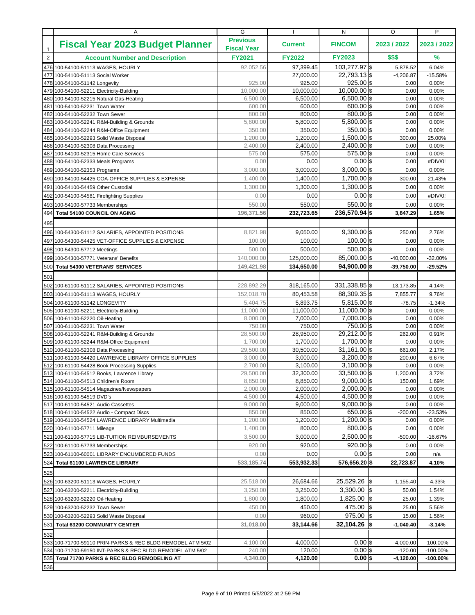|                | Α                                                                                                                       | G                                     |                       | N                               | O                        | P                          |
|----------------|-------------------------------------------------------------------------------------------------------------------------|---------------------------------------|-----------------------|---------------------------------|--------------------------|----------------------------|
| $\mathbf{1}$   | <b>Fiscal Year 2023 Budget Planner</b>                                                                                  | <b>Previous</b><br><b>Fiscal Year</b> | <b>Current</b>        | <b>FINCOM</b>                   | 2023 / 2022              | 2023 / 2022                |
| $\overline{2}$ | <b>Account Number and Description</b>                                                                                   | <b>FY2021</b>                         | <b>FY2022</b>         | <b>FY2023</b>                   | \$\$\$                   | %                          |
|                | 476 100-54100-51113 WAGES, HOURLY                                                                                       | 92,052.56                             | 97,399.45             | 103,277.97 \$                   | 5,878.52                 | 6.04%                      |
|                | 477 100-54100-51113 Social Worker                                                                                       |                                       | 27,000.00             | $22,793.13$ \$                  | $-4,206.87$              | $-15.58%$                  |
|                | 478 100-54100-51142 Longevity                                                                                           | 925.00                                | 925.00                | $925.00$ \$                     | 0.00                     | 0.00%                      |
|                | 479 100-54100-52211 Electricity-Building                                                                                | 10,000.00                             | 10,000.00             | $10,000.00$ \$                  | 0.00                     | 0.00%                      |
|                | 480 100-54100-52215 Natural Gas-Heating                                                                                 | 6,500.00                              | 6,500.00              | $6,500.00$ \$                   | 0.00                     | 0.00%                      |
|                | 481 100-54100-52231 Town Water                                                                                          | 600.00<br>800.00                      | 600.00<br>800.00      | 600.00 \$<br>$800.00$ \$        | 0.00                     | 0.00%                      |
| 482            | 100-54100-52232 Town Sewer<br>483 100-54100-52241 R&M-Building & Grounds                                                | 5,800.00                              | 5,800.00              | $5,800.00$ \$                   | 0.00<br>0.00             | 0.00%<br>0.00%             |
|                | 484 100-54100-52244 R&M-Office Equipment                                                                                | 350.00                                | 350.00                | $350.00$ \$                     | 0.00                     | 0.00%                      |
| 485            | 100-54100-52293 Solid Waste Disposal                                                                                    | 1,200.00                              | 1,200.00              | $1,500.00$ \$                   | 300.00                   | 25.00%                     |
|                | 486 100-54100-52308 Data Processing                                                                                     | 2,400.00                              | 2,400.00              | $2,400.00$ \$                   | 0.00                     | 0.00%                      |
|                | 487 100-54100-52315 Home Care Services                                                                                  | 575.00                                | 575.00                | $575.00$ \$                     | 0.00                     | 0.00%                      |
|                | 488 100-54100-52333 Meals Programs                                                                                      | 0.00                                  | 0.00                  | $0.00$ \$                       | 0.00                     | #DIV/0!                    |
|                | 489 100-54100-52353 Programs                                                                                            | 3,000.00                              | 3,000.00              | $3,000.00$ \$                   | 0.00                     | 0.00%                      |
|                | 490 100-54100-54425 COA-OFFICE SUPPLIES & EXPENSE                                                                       | 1,400.00                              | 1,400.00              | $1,700.00$ \$                   | 300.00                   | 21.43%                     |
|                | 491 100-54100-54459 Other Custodial                                                                                     | 1,300.00                              | 1,300.00              | $1,300.00$ \$                   | 0.00                     | 0.00%                      |
|                | 492 100-54100-54581 Firefighting Supplies                                                                               | 0.00                                  | 0.00                  | $0.00$ \$                       | 0.00                     | #DIV/0!                    |
|                | 493 100-54100-57733 Memberships                                                                                         | 550.00                                | 550.00                | $550.00$ \$                     | 0.00                     | 0.00%                      |
|                | 494 Total 54100 COUNCIL ON AGING                                                                                        | 196.371.56                            | 232,723.65            | $236.570.94$ s                  | 3,847.29                 | 1.65%                      |
| 495            |                                                                                                                         |                                       |                       |                                 |                          |                            |
|                | 496 100-54300-51112 SALARIES, APPOINTED POSITIONS                                                                       | 8,821.98                              | 9,050.00              | $9,300.00$ \$                   | 250.00                   | 2.76%                      |
|                | 497 100-54300-54425 VET-OFFICE SUPPLIES & EXPENSE                                                                       | 100.00                                | 100.00                | $100.00$ \$                     | 0.00                     | 0.00%                      |
|                | 498 100-54300-57712 Meetings                                                                                            | 500.00                                | 500.00                | $500.00$ \$                     | 0.00                     | 0.00%                      |
|                | 499 100-54300-57771 Veterans' Benefits                                                                                  | 140,000.00                            | 125,000.00            | 85,000.00 \$                    | $-40,000.00$             | $-32.00%$                  |
| 500            | <b>Total 54300 VETERANS' SERVICES</b>                                                                                   | 149,421.98                            | 134,650.00            | $94,900.00$ \$                  | $-39,750.00$             | $-29.52%$                  |
| 501            |                                                                                                                         |                                       |                       |                                 |                          |                            |
|                | 502 100-61100-51112 SALARIES, APPOINTED POSITIONS                                                                       | 228,892.29                            | 318,165.00            | 331,338.85 \$                   | 13,173.85                | 4.14%                      |
|                | 503 100-61100-51113 WAGES, HOURLY                                                                                       | 152,018.70                            | 80,453.58             | 88,309.35 \$                    | 7,855.77                 | 9.76%                      |
|                | 504 100-61100-51142 LONGEVITY                                                                                           | 5,404.75                              | 5,893.75              | $5,815.00$ \$                   | $-78.75$                 | $-1.34%$                   |
|                | 505 100-61100-52211 Electricity-Building                                                                                | 11,000.00                             | 11,000.00             | $11,000.00$ \$                  | 0.00                     | 0.00%                      |
|                | 506 100-61100-52220 Oil-Heating                                                                                         | 8,000.00                              | 7,000.00              | $7,000.00$ \$                   | 0.00                     | 0.00%                      |
|                | 507 100-61100-52231 Town Water                                                                                          | 750.00                                | 750.00                | 750.00 \$                       | 0.00                     | 0.00%                      |
|                | 508 100-61100-52241 R&M-Building & Grounds                                                                              | 28,500.00                             | 28,950.00             | $29,212.00$ \$                  | 262.00                   | 0.91%                      |
|                | 509 100-61100-52244 R&M-Office Equipment                                                                                | 1,700.00<br>29,500.00                 | 1,700.00<br>30,500.00 | $1,700.00$ \$<br>$31,161.00$ \$ | 0.00                     | 0.00%<br>2.17%             |
|                | 510 100-61100-52308 Data Processing<br>511 100-61100-54420 LAWRENCE LIBRARY OFFICE SUPPLIES                             | 3,000.00                              | 3,000.00              | $3,200.00$ \$                   | 661.00<br>200.00         | 6.67%                      |
|                | 512 100-61100-54428 Book Processing Supplies                                                                            | 2,700.00                              | 3,100.00              | $3.100.00$ s                    | 0.00                     | 0.00%                      |
|                | 513 100-61100-54512 Books, Lawrence Library                                                                             | 29,500.00                             | 32,300.00             | $33,500.00$ \$                  | 1,200.00                 | 3.72%                      |
|                | 514 100-61100-54513 Children's Room                                                                                     | 8,850.00                              | 8,850.00              | $9.000.00$ s                    | 150.00                   | 1.69%                      |
|                | 515 100-61100-54514 Magazines/Newspapers                                                                                | 2,000.00                              | 2,000.00              | $\overline{2,000.00}$ \$        | 0.00                     | 0.00%                      |
|                | 516 100-61100-54519 DVD's                                                                                               | 4,500.00                              | 4,500.00              | $4,500.00$ \$                   | 0.00                     | 0.00%                      |
|                | 517 100-61100-54521 Audio Cassettes                                                                                     | 9,000.00                              | 9,000.00              | $9,000.00$ \$                   | 0.00                     | 0.00%                      |
|                | 518 100-61100-54522 Audio - Compact Discs                                                                               | 850.00                                | 850.00                | $650.00$ \$                     | $-200.00$                | $-23.53%$                  |
|                | 519 100-61100-54524 LAWRENCE LIBRARY Multimedia                                                                         | 1,200.00<br>1,400.00                  | 1,200.00<br>800.00    | $1,200.00$ \$<br>$800.00$ \$    | 0.00<br>0.00             | 0.00%<br>0.00%             |
|                | 520 100-61100-57711 Mileage<br>521 100-61100-57715 LIB-TUITION REIMBURSEMENTS                                           | 3,500.00                              | 3,000.00              | $2,500.00$ \$                   | $-500.00$                | $-16.67%$                  |
|                | 522 100-61100-57733 Memberships                                                                                         | 920.00                                | 920.00                | $920.00$ \$                     | 0.00                     | 0.00%                      |
|                | 523 100-61100-60001 LIBRARY ENCUMBERED FUNDS                                                                            | 0.00                                  | 0.00                  | $0.00$ \$                       | 0.00                     | n/a                        |
|                | 524 Total 61100 LAWRENCE LIBRARY                                                                                        | 533,185.74                            | 553,932.33            | 576,656.20 \$                   | 22,723.87                | 4.10%                      |
|                |                                                                                                                         |                                       |                       |                                 |                          |                            |
| 525            | 526 100-63200-51113 WAGES, HOURLY                                                                                       | 25,518.00                             | 26,684.66             | $25,529.26$ \$                  | $-1,155.40$              | $-4.33%$                   |
|                |                                                                                                                         |                                       |                       | $3,300.00$ \$                   |                          |                            |
|                | 527 100-63200-52211 Electricity-Building                                                                                | 3,250.00<br>1,800.00                  | 3,250.00              | $1,825.00$ \$                   | 50.00                    | 1.54%                      |
|                | 528 100-63200-52220 Oil-Heating                                                                                         | 450.00                                | 1,800.00<br>450.00    | 475.00 $\vert$ \$               | 25.00                    | 1.39%                      |
|                | 529 100-63200-52232 Town Sewer<br>530 100-63200-52293 Solid Waste Disposal                                              | 0.00                                  | 960.00                | $975.00$ \$                     | 25.00                    | 5.56%<br>1.56%             |
|                | 531 Total 63200 COMMUNITY CENTER                                                                                        | 31,018.00                             | 33,144.66             | $32,104.26$ \$                  | 15.00<br>$-1,040.40$     | $-3.14%$                   |
|                |                                                                                                                         |                                       |                       |                                 |                          |                            |
| 532            |                                                                                                                         |                                       |                       | $0.00$ \$                       |                          |                            |
|                | 533 100-71700-59110 PRIN-PARKS & REC BLDG REMODEL ATM 5/02<br>534 100-71700-59150 INT-PARKS & REC BLDG REMODEL ATM 5/02 | 4,100.00<br>240.00                    | 4,000.00<br>120.00    | $0.00$ \$                       | $-4,000.00$<br>$-120.00$ | $-100.00\%$<br>$-100.00\%$ |
|                | 535 Total 71700 PARKS & REC BLDG REMODELING AT                                                                          | 4,340.00                              | 4,120.00              | $0.00$ \$                       | $-4,120.00$              | $-100.00\%$                |
| 536            |                                                                                                                         |                                       |                       |                                 |                          |                            |